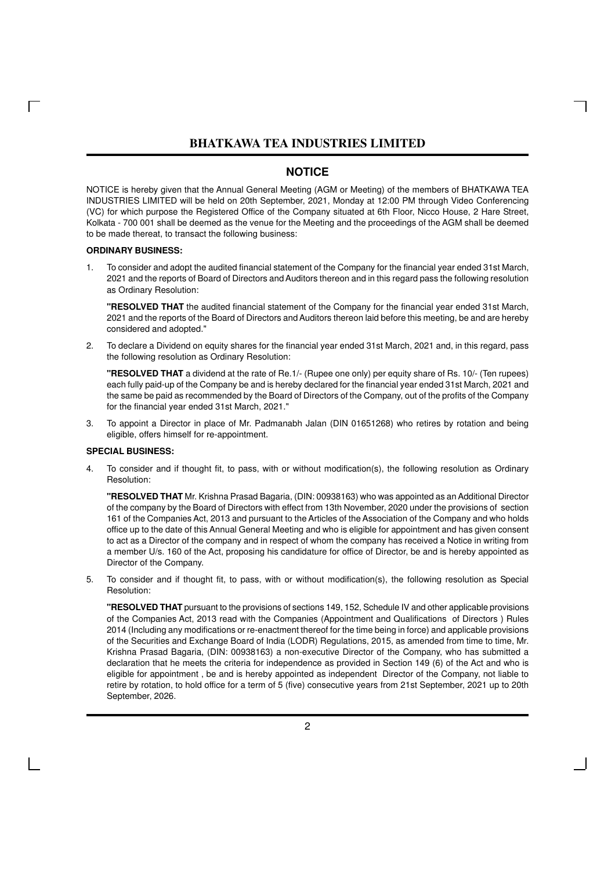### **NOTICE**

NOTICE is hereby given that the Annual General Meeting (AGM or Meeting) of the members of BHATKAWA TEA INDUSTRIES LIMITED will be held on 20th September, 2021, Monday at 12:00 PM through Video Conferencing (VC) for which purpose the Registered Office of the Company situated at 6th Floor, Nicco House, 2 Hare Street, Kolkata - 700 001 shall be deemed as the venue for the Meeting and the proceedings of the AGM shall be deemed to be made thereat, to transact the following business:

#### **ORDINARY BUSINESS:**

 $\Box$ 

1. To consider and adopt the audited financial statement of the Company for the financial year ended 31st March, 2021 and the reports of Board of Directors and Auditors thereon and in this regard pass the following resolution as Ordinary Resolution:

**"RESOLVED THAT** the audited financial statement of the Company for the financial year ended 31st March, 2021 and the reports of the Board of Directors and Auditors thereon laid before this meeting, be and are hereby considered and adopted."

2. To declare a Dividend on equity shares for the financial year ended 31st March, 2021 and, in this regard, pass the following resolution as Ordinary Resolution:

**"RESOLVED THAT** a dividend at the rate of Re.1/- (Rupee one only) per equity share of Rs. 10/- (Ten rupees) each fully paid-up of the Company be and is hereby declared for the financial year ended 31st March, 2021 and the same be paid as recommended by the Board of Directors of the Company, out of the profits of the Company for the financial year ended 31st March, 2021."

3. To appoint a Director in place of Mr. Padmanabh Jalan (DIN 01651268) who retires by rotation and being eligible, offers himself for re-appointment.

#### **SPECIAL BUSINESS:**

4. To consider and if thought fit, to pass, with or without modification(s), the following resolution as Ordinary Resolution:

**"RESOLVED THAT** Mr. Krishna Prasad Bagaria, (DIN: 00938163) who was appointed as an Additional Director of the company by the Board of Directors with effect from 13th November, 2020 under the provisions of section 161 of the Companies Act, 2013 and pursuant to the Articles of the Association of the Company and who holds office up to the date of this Annual General Meeting and who is eligible for appointment and has given consent to act as a Director of the company and in respect of whom the company has received a Notice in writing from a member U/s. 160 of the Act, proposing his candidature for office of Director, be and is hereby appointed as Director of the Company.

5. To consider and if thought fit, to pass, with or without modification(s), the following resolution as Special Resolution:

**"RESOLVED THAT** pursuant to the provisions of sections 149, 152, Schedule IV and other applicable provisions of the Companies Act, 2013 read with the Companies (Appointment and Qualifications of Directors ) Rules 2014 (Including any modifications or re-enactment thereof for the time being in force) and applicable provisions of the Securities and Exchange Board of India (LODR) Regulations, 2015, as amended from time to time, Mr. Krishna Prasad Bagaria, (DIN: 00938163) a non-executive Director of the Company, who has submitted a declaration that he meets the criteria for independence as provided in Section 149 (6) of the Act and who is eligible for appointment , be and is hereby appointed as independent Director of the Company, not liable to retire by rotation, to hold office for a term of 5 (five) consecutive years from 21st September, 2021 up to 20th September, 2026.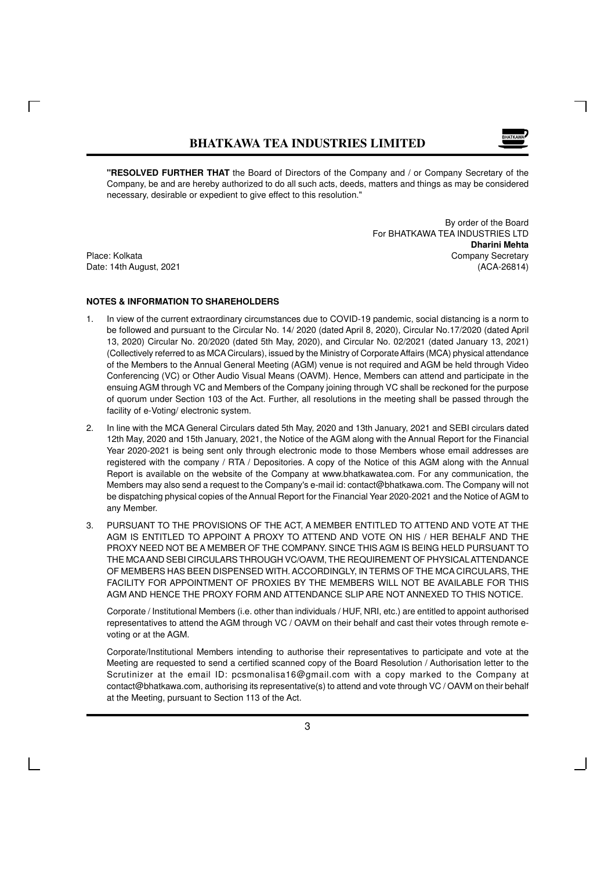

**"RESOLVED FURTHER THAT** the Board of Directors of the Company and / or Company Secretary of the Company, be and are hereby authorized to do all such acts, deeds, matters and things as may be considered necessary, desirable or expedient to give effect to this resolution."

By order of the Board For BHATKAWA TEA INDUSTRIES LTD **Dharini Mehta** Place: Kolkata Company Secretary Company Secretary Company Secretary Company Secretary Date: 14th August, 2021 (ACA-26814)

#### **NOTES & INFORMATION TO SHAREHOLDERS**

- 1. In view of the current extraordinary circumstances due to COVID-19 pandemic, social distancing is a norm to be followed and pursuant to the Circular No. 14/ 2020 (dated April 8, 2020), Circular No.17/2020 (dated April 13, 2020) Circular No. 20/2020 (dated 5th May, 2020), and Circular No. 02/2021 (dated January 13, 2021) (Collectively referred to as MCA Circulars), issued by the Ministry of Corporate Affairs (MCA) physical attendance of the Members to the Annual General Meeting (AGM) venue is not required and AGM be held through Video Conferencing (VC) or Other Audio Visual Means (OAVM). Hence, Members can attend and participate in the ensuing AGM through VC and Members of the Company joining through VC shall be reckoned for the purpose of quorum under Section 103 of the Act. Further, all resolutions in the meeting shall be passed through the facility of e-Voting/ electronic system.
- 2. In line with the MCA General Circulars dated 5th May, 2020 and 13th January, 2021 and SEBI circulars dated 12th May, 2020 and 15th January, 2021, the Notice of the AGM along with the Annual Report for the Financial Year 2020-2021 is being sent only through electronic mode to those Members whose email addresses are registered with the company / RTA / Depositories. A copy of the Notice of this AGM along with the Annual Report is available on the website of the Company at www.bhatkawatea.com. For any communication, the Members may also send a request to the Company's e-mail id: contact@bhatkawa.com. The Company will not be dispatching physical copies of the Annual Report for the Financial Year 2020-2021 and the Notice of AGM to any Member.
- 3. PURSUANT TO THE PROVISIONS OF THE ACT, A MEMBER ENTITLED TO ATTEND AND VOTE AT THE AGM IS ENTITLED TO APPOINT A PROXY TO ATTEND AND VOTE ON HIS / HER BEHALF AND THE PROXY NEED NOT BE A MEMBER OF THE COMPANY. SINCE THIS AGM IS BEING HELD PURSUANT TO THE MCAAND SEBI CIRCULARS THROUGH VC/OAVM, THE REQUIREMENT OF PHYSICAL ATTENDANCE OF MEMBERS HAS BEEN DISPENSED WITH. ACCORDINGLY, IN TERMS OF THE MCA CIRCULARS, THE FACILITY FOR APPOINTMENT OF PROXIES BY THE MEMBERS WILL NOT BE AVAILABLE FOR THIS AGM AND HENCE THE PROXY FORM AND ATTENDANCE SLIP ARE NOT ANNEXED TO THIS NOTICE.

Corporate / Institutional Members (i.e. other than individuals / HUF, NRI, etc.) are entitled to appoint authorised representatives to attend the AGM through VC / OAVM on their behalf and cast their votes through remote evoting or at the AGM.

Corporate/Institutional Members intending to authorise their representatives to participate and vote at the Meeting are requested to send a certified scanned copy of the Board Resolution / Authorisation letter to the Scrutinizer at the email ID: pcsmonalisa16@gmail.com with a copy marked to the Company at contact@bhatkawa.com, authorising its representative(s) to attend and vote through VC / OAVM on their behalf at the Meeting, pursuant to Section 113 of the Act.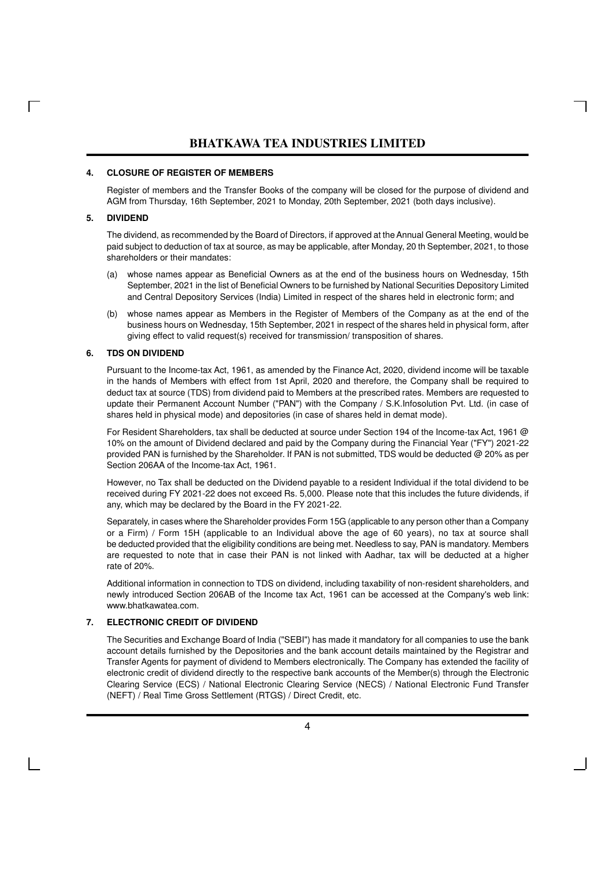#### **4. CLOSURE OF REGISTER OF MEMBERS**

Register of members and the Transfer Books of the company will be closed for the purpose of dividend and AGM from Thursday, 16th September, 2021 to Monday, 20th September, 2021 (both days inclusive).

#### **5. DIVIDEND**

The dividend, as recommended by the Board of Directors, if approved at the Annual General Meeting, would be paid subject to deduction of tax at source, as may be applicable, after Monday, 20 th September, 2021, to those shareholders or their mandates:

- (a) whose names appear as Beneficial Owners as at the end of the business hours on Wednesday, 15th September, 2021 in the list of Beneficial Owners to be furnished by National Securities Depository Limited and Central Depository Services (India) Limited in respect of the shares held in electronic form; and
- (b) whose names appear as Members in the Register of Members of the Company as at the end of the business hours on Wednesday, 15th September, 2021 in respect of the shares held in physical form, after giving effect to valid request(s) received for transmission/ transposition of shares.

#### **6. TDS ON DIVIDEND**

Pursuant to the Income-tax Act, 1961, as amended by the Finance Act, 2020, dividend income will be taxable in the hands of Members with effect from 1st April, 2020 and therefore, the Company shall be required to deduct tax at source (TDS) from dividend paid to Members at the prescribed rates. Members are requested to update their Permanent Account Number ("PAN") with the Company / S.K.Infosolution Pvt. Ltd. (in case of shares held in physical mode) and depositories (in case of shares held in demat mode).

For Resident Shareholders, tax shall be deducted at source under Section 194 of the Income-tax Act, 1961 @ 10% on the amount of Dividend declared and paid by the Company during the Financial Year ("FY") 2021-22 provided PAN is furnished by the Shareholder. If PAN is not submitted, TDS would be deducted @ 20% as per Section 206AA of the Income-tax Act, 1961.

However, no Tax shall be deducted on the Dividend payable to a resident Individual if the total dividend to be received during FY 2021-22 does not exceed Rs. 5,000. Please note that this includes the future dividends, if any, which may be declared by the Board in the FY 2021-22.

Separately, in cases where the Shareholder provides Form 15G (applicable to any person other than a Company or a Firm) / Form 15H (applicable to an Individual above the age of 60 years), no tax at source shall be deducted provided that the eligibility conditions are being met. Needless to say, PAN is mandatory. Members are requested to note that in case their PAN is not linked with Aadhar, tax will be deducted at a higher rate of 20%.

Additional information in connection to TDS on dividend, including taxability of non-resident shareholders, and newly introduced Section 206AB of the Income tax Act, 1961 can be accessed at the Company's web link: www.bhatkawatea.com.

#### **7. ELECTRONIC CREDIT OF DIVIDEND**

The Securities and Exchange Board of India ("SEBI") has made it mandatory for all companies to use the bank account details furnished by the Depositories and the bank account details maintained by the Registrar and Transfer Agents for payment of dividend to Members electronically. The Company has extended the facility of electronic credit of dividend directly to the respective bank accounts of the Member(s) through the Electronic Clearing Service (ECS) / National Electronic Clearing Service (NECS) / National Electronic Fund Transfer (NEFT) / Real Time Gross Settlement (RTGS) / Direct Credit, etc.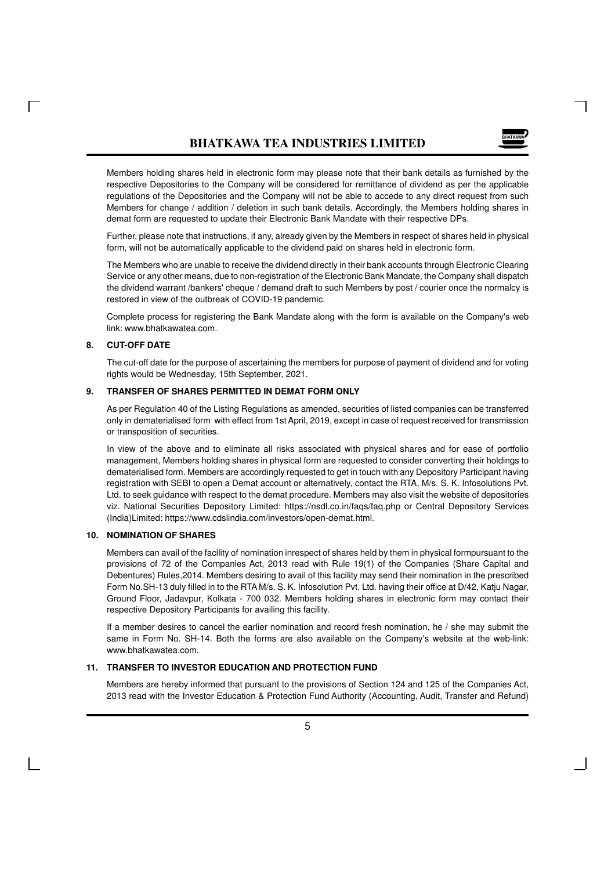

Members holding shares held in electronic form may please note that their bank details as furnished by the respective Depositories to the Company will be considered for remittance of dividend as per the applicable regulations of the Depositories and the Company will not be able to accede to any direct request from such Members for change / addition / deletion in such bank details. Accordingly, the Members holding shares in demat form are requested to update their Electronic Bank Mandate with their respective DPs.

Further, please note that instructions, if any, already given by the Members in respect of shares held in physical form, will not be automatically applicable to the dividend paid on shares held in electronic form.

The Members who are unable to receive the dividend directly in their bank accounts through Electronic Clearing Service or any other means, due to non-registration of the Electronic Bank Mandate, the Company shall dispatch the dividend warrant /bankers' cheque / demand draft to such Members by post / courier once the normalcy is restored in view of the outbreak of COVID-19 pandemic.

Complete process for registering the Bank Mandate along with the form is available on the Company's web link: www.bhatkawatea.com.

### **8. CUT-OFF DATE**

The cut-off date for the purpose of ascertaining the members for purpose of payment of dividend and for voting rights would be Wednesday, 15th September, 2021.

### **9. TRANSFER OF SHARES PERMITTED IN DEMAT FORM ONLY**

As per Regulation 40 of the Listing Regulations as amended, securities of listed companies can be transferred only in dematerialised form with effect from 1st April, 2019, except in case of request received for transmission or transposition of securities.

In view of the above and to eliminate all risks associated with physical shares and for ease of portfolio management, Members holding shares in physical form are requested to consider converting their holdings to dematerialised form. Members are accordingly requested to get in touch with any Depository Participant having registration with SEBI to open a Demat account or alternatively, contact the RTA, M/s. S. K. Infosolutions Pvt. Ltd. to seek guidance with respect to the demat procedure. Members may also visit the website of depositories viz. National Securities Depository Limited: https://nsdl.co.in/faqs/faq.php or Central Depository Services (India)Limited: https://www.cdslindia.com/investors/open-demat.html.

#### **10. NOMINATION OF SHARES**

Members can avail of the facility of nomination inrespect of shares held by them in physical formpursuant to the provisions of 72 of the Companies Act, 2013 read with Rule 19(1) of the Companies (Share Capital and Debentures) Rules,2014. Members desiring to avail of this facility may send their nomination in the prescribed Form No.SH-13 duly filled in to the RTA M/s. S. K. Infosolution Pvt. Ltd. having their office at D/42, Katju Nagar, Ground Floor, Jadavpur, Kolkata - 700 032. Members holding shares in electronic form may contact their respective Depository Participants for availing this facility.

If a member desires to cancel the earlier nomination and record fresh nomination, he / she may submit the same in Form No. SH-14. Both the forms are also available on the Company's website at the web-link: www.bhatkawatea.com.

### **11. TRANSFER TO INVESTOR EDUCATION AND PROTECTION FUND**

Members are hereby informed that pursuant to the provisions of Section 124 and 125 of the Companies Act, 2013 read with the Investor Education & Protection Fund Authority (Accounting, Audit, Transfer and Refund)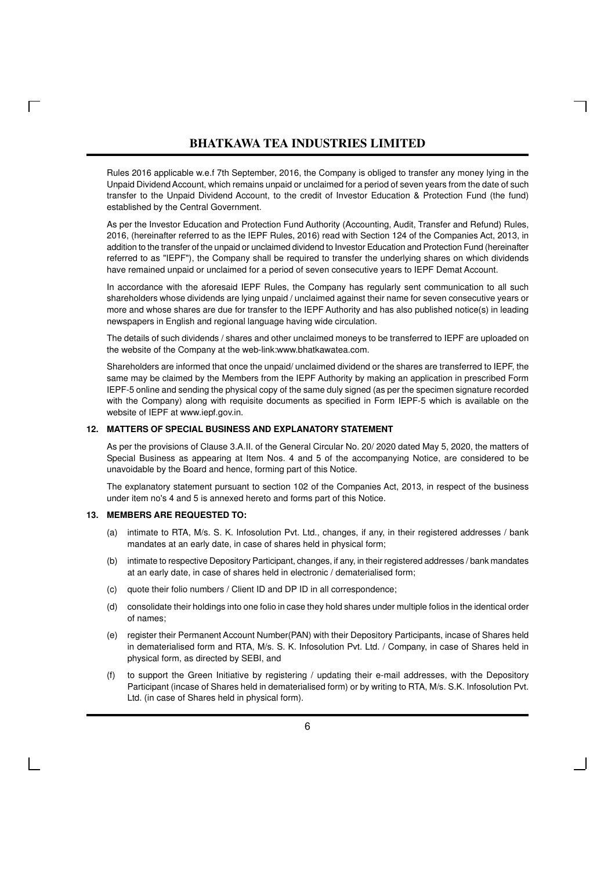Rules 2016 applicable w.e.f 7th September, 2016, the Company is obliged to transfer any money lying in the Unpaid Dividend Account, which remains unpaid or unclaimed for a period of seven years from the date of such transfer to the Unpaid Dividend Account, to the credit of Investor Education & Protection Fund (the fund) established by the Central Government.

As per the Investor Education and Protection Fund Authority (Accounting, Audit, Transfer and Refund) Rules, 2016, (hereinafter referred to as the IEPF Rules, 2016) read with Section 124 of the Companies Act, 2013, in addition to the transfer of the unpaid or unclaimed dividend to Investor Education and Protection Fund (hereinafter referred to as "IEPF"), the Company shall be required to transfer the underlying shares on which dividends have remained unpaid or unclaimed for a period of seven consecutive years to IEPF Demat Account.

In accordance with the aforesaid IEPF Rules, the Company has regularly sent communication to all such shareholders whose dividends are lying unpaid / unclaimed against their name for seven consecutive years or more and whose shares are due for transfer to the IEPF Authority and has also published notice(s) in leading newspapers in English and regional language having wide circulation.

The details of such dividends / shares and other unclaimed moneys to be transferred to IEPF are uploaded on the website of the Company at the web-link:www.bhatkawatea.com.

Shareholders are informed that once the unpaid/ unclaimed dividend or the shares are transferred to IEPF, the same may be claimed by the Members from the IEPF Authority by making an application in prescribed Form IEPF-5 online and sending the physical copy of the same duly signed (as per the specimen signature recorded with the Company) along with requisite documents as specified in Form IEPF-5 which is available on the website of IEPF at www.iepf.gov.in.

#### **12. MATTERS OF SPECIAL BUSINESS AND EXPLANATORY STATEMENT**

As per the provisions of Clause 3.A.II. of the General Circular No. 20/ 2020 dated May 5, 2020, the matters of Special Business as appearing at Item Nos. 4 and 5 of the accompanying Notice, are considered to be unavoidable by the Board and hence, forming part of this Notice.

The explanatory statement pursuant to section 102 of the Companies Act, 2013, in respect of the business under item no's 4 and 5 is annexed hereto and forms part of this Notice.

#### **13. MEMBERS ARE REQUESTED TO:**

- (a) intimate to RTA, M/s. S. K. Infosolution Pvt. Ltd., changes, if any, in their registered addresses / bank mandates at an early date, in case of shares held in physical form;
- (b) intimate to respective Depository Participant, changes, if any, in their registered addresses / bank mandates at an early date, in case of shares held in electronic / dematerialised form;
- (c) quote their folio numbers / Client ID and DP ID in all correspondence;
- (d) consolidate their holdings into one folio in case they hold shares under multiple folios in the identical order of names;
- (e) register their Permanent Account Number(PAN) with their Depository Participants, incase of Shares held in dematerialised form and RTA, M/s. S. K. Infosolution Pvt. Ltd. / Company, in case of Shares held in physical form, as directed by SEBI, and
- (f) to support the Green Initiative by registering / updating their e-mail addresses, with the Depository Participant (incase of Shares held in dematerialised form) or by writing to RTA, M/s. S.K. Infosolution Pvt. Ltd. (in case of Shares held in physical form).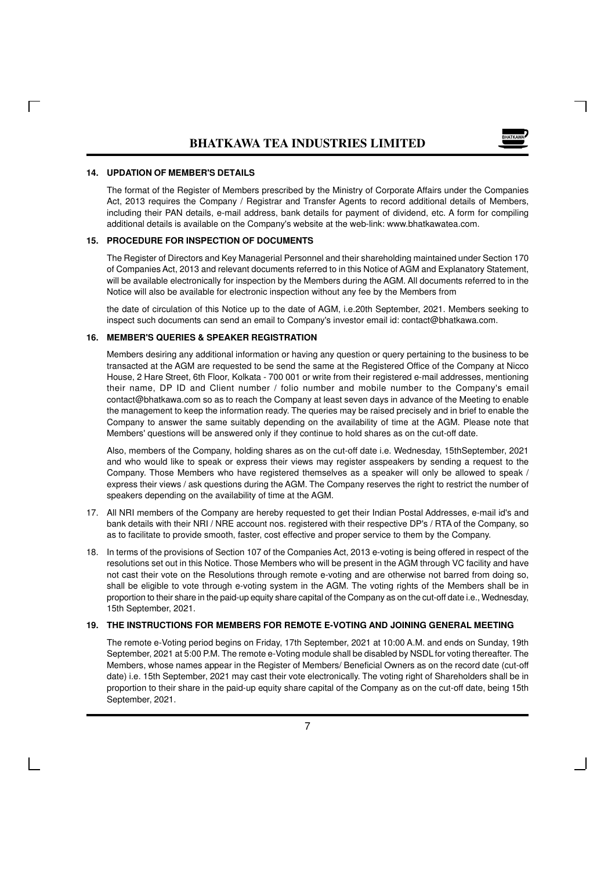

### **14. UPDATION OF MEMBER'S DETAILS**

The format of the Register of Members prescribed by the Ministry of Corporate Affairs under the Companies Act, 2013 requires the Company / Registrar and Transfer Agents to record additional details of Members, including their PAN details, e-mail address, bank details for payment of dividend, etc. A form for compiling additional details is available on the Company's website at the web-link: www.bhatkawatea.com.

#### **15. PROCEDURE FOR INSPECTION OF DOCUMENTS**

The Register of Directors and Key Managerial Personnel and their shareholding maintained under Section 170 of Companies Act, 2013 and relevant documents referred to in this Notice of AGM and Explanatory Statement, will be available electronically for inspection by the Members during the AGM. All documents referred to in the Notice will also be available for electronic inspection without any fee by the Members from

the date of circulation of this Notice up to the date of AGM, i.e.20th September, 2021. Members seeking to inspect such documents can send an email to Company's investor email id: contact@bhatkawa.com.

### **16. MEMBER'S QUERIES & SPEAKER REGISTRATION**

Members desiring any additional information or having any question or query pertaining to the business to be transacted at the AGM are requested to be send the same at the Registered Office of the Company at Nicco House, 2 Hare Street, 6th Floor, Kolkata - 700 001 or write from their registered e-mail addresses, mentioning their name, DP ID and Client number / folio number and mobile number to the Company's email contact@bhatkawa.com so as to reach the Company at least seven days in advance of the Meeting to enable the management to keep the information ready. The queries may be raised precisely and in brief to enable the Company to answer the same suitably depending on the availability of time at the AGM. Please note that Members' questions will be answered only if they continue to hold shares as on the cut-off date.

Also, members of the Company, holding shares as on the cut-off date i.e. Wednesday, 15thSeptember, 2021 and who would like to speak or express their views may register asspeakers by sending a request to the Company. Those Members who have registered themselves as a speaker will only be allowed to speak / express their views / ask questions during the AGM. The Company reserves the right to restrict the number of speakers depending on the availability of time at the AGM.

- 17. All NRI members of the Company are hereby requested to get their Indian Postal Addresses, e-mail id's and bank details with their NRI / NRE account nos. registered with their respective DP's / RTA of the Company, so as to facilitate to provide smooth, faster, cost effective and proper service to them by the Company.
- 18. In terms of the provisions of Section 107 of the Companies Act, 2013 e-voting is being offered in respect of the resolutions set out in this Notice. Those Members who will be present in the AGM through VC facility and have not cast their vote on the Resolutions through remote e-voting and are otherwise not barred from doing so, shall be eligible to vote through e-voting system in the AGM. The voting rights of the Members shall be in proportion to their share in the paid-up equity share capital of the Company as on the cut-off date i.e., Wednesday, 15th September, 2021.

#### **19. THE INSTRUCTIONS FOR MEMBERS FOR REMOTE E-VOTING AND JOINING GENERAL MEETING**

The remote e-Voting period begins on Friday, 17th September, 2021 at 10:00 A.M. and ends on Sunday, 19th September, 2021 at 5:00 P.M. The remote e-Voting module shall be disabled by NSDL for voting thereafter. The Members, whose names appear in the Register of Members/ Beneficial Owners as on the record date (cut-off date) i.e. 15th September, 2021 may cast their vote electronically. The voting right of Shareholders shall be in proportion to their share in the paid-up equity share capital of the Company as on the cut-off date, being 15th September, 2021.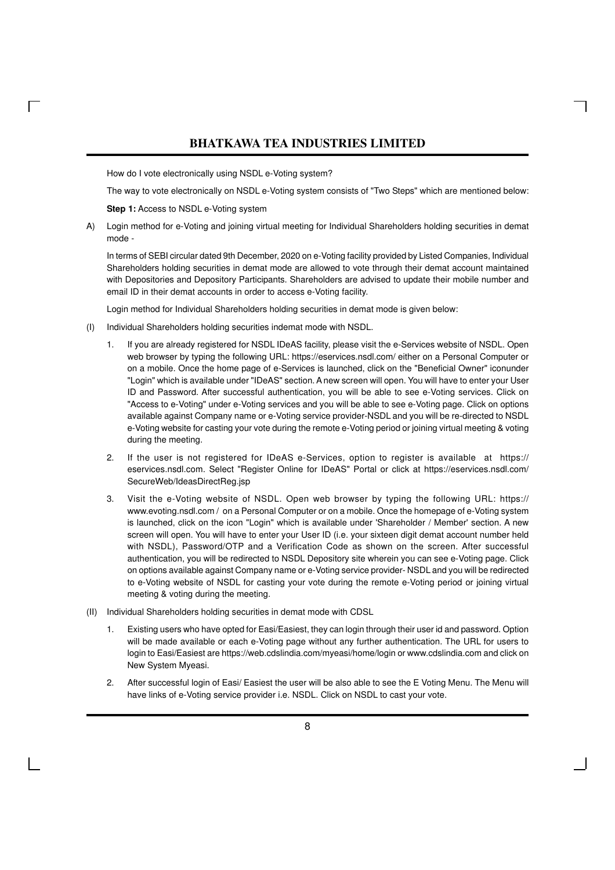How do I vote electronically using NSDL e-Voting system?

The way to vote electronically on NSDL e-Voting system consists of "Two Steps" which are mentioned below:

**Step 1:** Access to NSDL e-Voting system

A) Login method for e-Voting and joining virtual meeting for Individual Shareholders holding securities in demat mode -

In terms of SEBI circular dated 9th December, 2020 on e-Voting facility provided by Listed Companies, Individual Shareholders holding securities in demat mode are allowed to vote through their demat account maintained with Depositories and Depository Participants. Shareholders are advised to update their mobile number and email ID in their demat accounts in order to access e-Voting facility.

Login method for Individual Shareholders holding securities in demat mode is given below:

- (I) Individual Shareholders holding securities indemat mode with NSDL.
	- If you are already registered for NSDL IDeAS facility, please visit the e-Services website of NSDL. Open web browser by typing the following URL: https://eservices.nsdl.com/ either on a Personal Computer or on a mobile. Once the home page of e-Services is launched, click on the "Beneficial Owner" iconunder "Login" which is available under "IDeAS" section. A new screen will open. You will have to enter your User ID and Password. After successful authentication, you will be able to see e-Voting services. Click on "Access to e-Voting" under e-Voting services and you will be able to see e-Voting page. Click on options available against Company name or e-Voting service provider-NSDL and you will be re-directed to NSDL e-Voting website for casting your vote during the remote e-Voting period or joining virtual meeting & voting during the meeting.
	- 2. If the user is not registered for IDeAS e-Services, option to register is available at https:// eservices.nsdl.com. Select "Register Online for IDeAS" Portal or click at https://eservices.nsdl.com/ SecureWeb/IdeasDirectReg.jsp
	- 3. Visit the e-Voting website of NSDL. Open web browser by typing the following URL: https:// www.evoting.nsdl.com / on a Personal Computer or on a mobile. Once the homepage of e-Voting system is launched, click on the icon "Login" which is available under 'Shareholder / Member' section. A new screen will open. You will have to enter your User ID (i.e. your sixteen digit demat account number held with NSDL), Password/OTP and a Verification Code as shown on the screen. After successful authentication, you will be redirected to NSDL Depository site wherein you can see e-Voting page. Click on options available against Company name or e-Voting service provider- NSDL and you will be redirected to e-Voting website of NSDL for casting your vote during the remote e-Voting period or joining virtual meeting & voting during the meeting.
- (II) Individual Shareholders holding securities in demat mode with CDSL
	- 1. Existing users who have opted for Easi/Easiest, they can login through their user id and password. Option will be made available or each e-Voting page without any further authentication. The URL for users to login to Easi/Easiest are https://web.cdslindia.com/myeasi/home/login or www.cdslindia.com and click on New System Myeasi.
	- 2. After successful login of Easi/ Easiest the user will be also able to see the E Voting Menu. The Menu will have links of e-Voting service provider i.e. NSDL. Click on NSDL to cast your vote.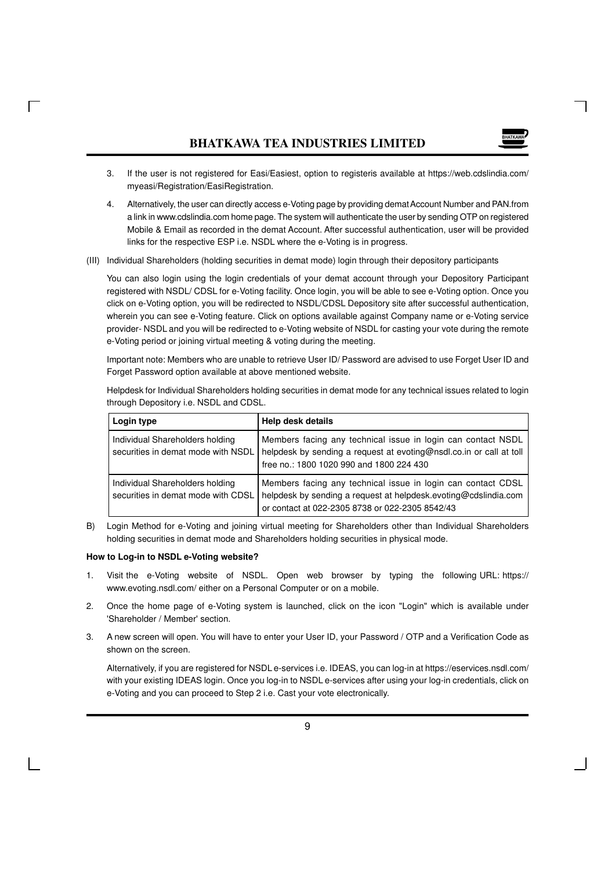- 3. If the user is not registered for Easi/Easiest, option to registeris available at https://web.cdslindia.com/ myeasi/Registration/EasiRegistration.
- 4. Alternatively, the user can directly access e-Voting page by providing demat Account Number and PAN.from a link in www.cdslindia.com home page. The system will authenticate the user by sending OTP on registered Mobile & Email as recorded in the demat Account. After successful authentication, user will be provided links for the respective ESP i.e. NSDL where the e-Voting is in progress.
- (III) Individual Shareholders (holding securities in demat mode) login through their depository participants

You can also login using the login credentials of your demat account through your Depository Participant registered with NSDL/ CDSL for e-Voting facility. Once login, you will be able to see e-Voting option. Once you click on e-Voting option, you will be redirected to NSDL/CDSL Depository site after successful authentication, wherein you can see e-Voting feature. Click on options available against Company name or e-Voting service provider- NSDL and you will be redirected to e-Voting website of NSDL for casting your vote during the remote e-Voting period or joining virtual meeting & voting during the meeting.

Important note: Members who are unable to retrieve User ID/ Password are advised to use Forget User ID and Forget Password option available at above mentioned website.

| Login type                                                            | Help desk details                                                                                                                                                                  |
|-----------------------------------------------------------------------|------------------------------------------------------------------------------------------------------------------------------------------------------------------------------------|
| Individual Shareholders holding<br>securities in demat mode with NSDL | Members facing any technical issue in login can contact NSDL<br>helpdesk by sending a request at evoting@nsdl.co.in or call at toll<br>free no.: 1800 1020 990 and 1800 224 430    |
| Individual Shareholders holding<br>securities in demat mode with CDSL | Members facing any technical issue in login can contact CDSL<br>helpdesk by sending a request at helpdesk evoting@cdslindia.com<br>or contact at 022-2305 8738 or 022-2305 8542/43 |

Helpdesk for Individual Shareholders holding securities in demat mode for any technical issues related to login through Depository i.e. NSDL and CDSL.

B) Login Method for e-Voting and joining virtual meeting for Shareholders other than Individual Shareholders holding securities in demat mode and Shareholders holding securities in physical mode.

#### **How to Log-in to NSDL e-Voting website?**

- 1. Visit the e-Voting website of NSDL. Open web browser by typing the following URL: https:// www.evoting.nsdl.com/ either on a Personal Computer or on a mobile.
- 2. Once the home page of e-Voting system is launched, click on the icon "Login" which is available under 'Shareholder / Member' section.
- 3. A new screen will open. You will have to enter your User ID, your Password / OTP and a Verification Code as shown on the screen.

Alternatively, if you are registered for NSDL e-services i.e. IDEAS, you can log-in at https://eservices.nsdl.com/ with your existing IDEAS login. Once you log-in to NSDL e-services after using your log-in credentials, click on e-Voting and you can proceed to Step 2 i.e. Cast your vote electronically.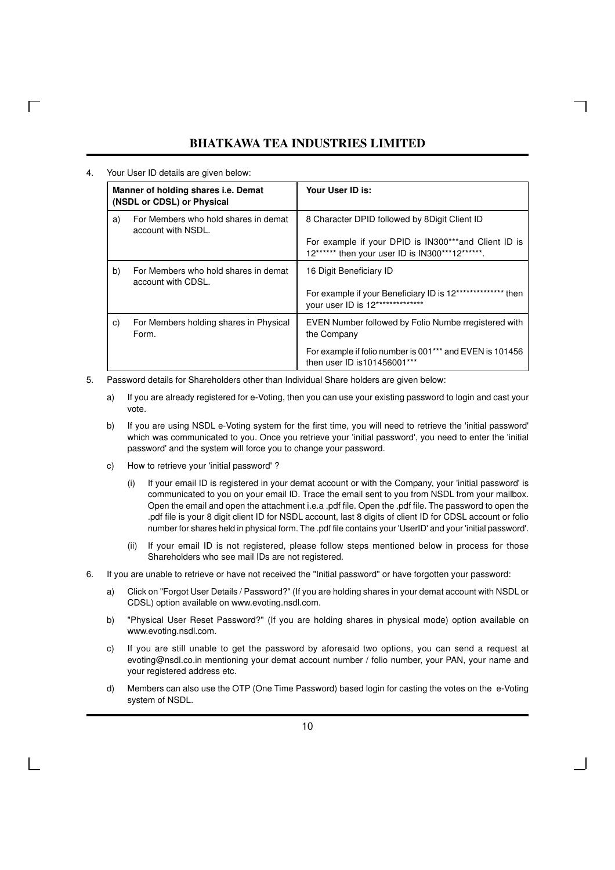4. Your User ID details are given below:

 $\Box$ 

| Manner of holding shares <i>i.e.</i> Demat<br>(NSDL or CDSL) or Physical |                                                            | Your User ID is:                                                                                        |
|--------------------------------------------------------------------------|------------------------------------------------------------|---------------------------------------------------------------------------------------------------------|
| a)                                                                       | For Members who hold shares in demat<br>account with NSDL. | 8 Character DPID followed by 8 Digit Client ID                                                          |
|                                                                          |                                                            | For example if your DPID is IN300***and Client ID is<br>12****** then your user ID is IN300***12******. |
| b)                                                                       | For Members who hold shares in demat<br>account with CDSL. | 16 Digit Beneficiary ID                                                                                 |
|                                                                          |                                                            | For example if your Beneficiary ID is 12**************<br>then<br>your user ID is 12**************      |
| C)                                                                       | For Members holding shares in Physical<br>Form.            | EVEN Number followed by Folio Numbe rregistered with<br>the Company                                     |
|                                                                          |                                                            | For example if folio number is 001*** and EVEN is 101456<br>then user ID is 101456001***                |

- 5. Password details for Shareholders other than Individual Share holders are given below:
	- a) If you are already registered for e-Voting, then you can use your existing password to login and cast your vote.
	- b) If you are using NSDL e-Voting system for the first time, you will need to retrieve the 'initial password' which was communicated to you. Once you retrieve your 'initial password', you need to enter the 'initial password' and the system will force you to change your password.
	- c) How to retrieve your 'initial password' ?
		- (i) If your email ID is registered in your demat account or with the Company, your 'initial password' is communicated to you on your email ID. Trace the email sent to you from NSDL from your mailbox. Open the email and open the attachment i.e.a .pdf file. Open the .pdf file. The password to open the .pdf file is your 8 digit client ID for NSDL account, last 8 digits of client ID for CDSL account or folio number for shares held in physical form. The .pdf file contains your 'UserID' and your 'initial password'.
		- (ii) If your email ID is not registered, please follow steps mentioned below in process for those Shareholders who see mail IDs are not registered.
- 6. If you are unable to retrieve or have not received the "Initial password" or have forgotten your password:
	- a) Click on "Forgot User Details / Password?" (If you are holding shares in your demat account with NSDL or CDSL) option available on www.evoting.nsdl.com.
	- b) "Physical User Reset Password?" (If you are holding shares in physical mode) option available on www.evoting.nsdl.com.
	- c) If you are still unable to get the password by aforesaid two options, you can send a request at evoting@nsdl.co.in mentioning your demat account number / folio number, your PAN, your name and your registered address etc.
	- d) Members can also use the OTP (One Time Password) based login for casting the votes on the e-Voting system of NSDL.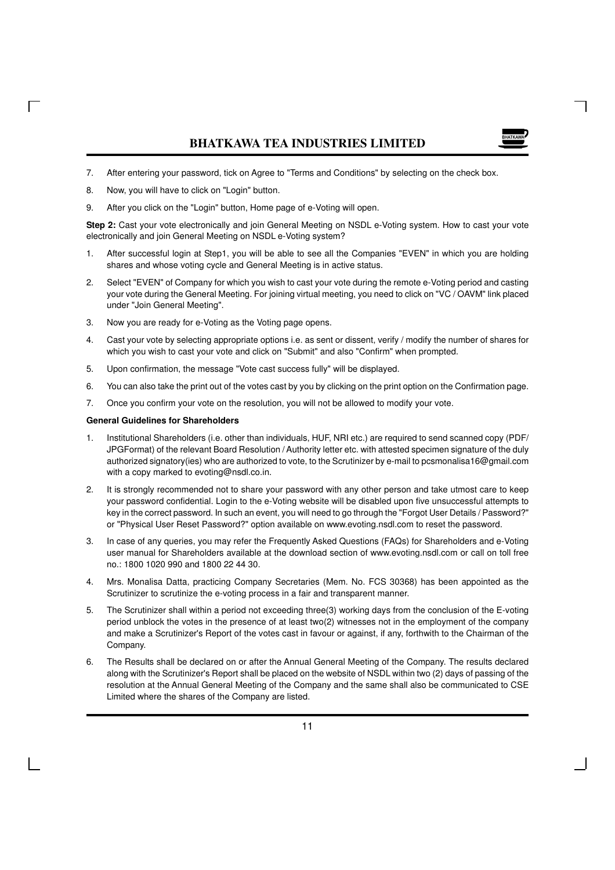- 7. After entering your password, tick on Agree to "Terms and Conditions" by selecting on the check box.
- 8. Now, you will have to click on "Login" button.
- 9. After you click on the "Login" button, Home page of e-Voting will open.

**Step 2:** Cast your vote electronically and join General Meeting on NSDL e-Voting system. How to cast your vote electronically and join General Meeting on NSDL e-Voting system?

- 1. After successful login at Step1, you will be able to see all the Companies "EVEN" in which you are holding shares and whose voting cycle and General Meeting is in active status.
- 2. Select "EVEN" of Company for which you wish to cast your vote during the remote e-Voting period and casting your vote during the General Meeting. For joining virtual meeting, you need to click on "VC / OAVM" link placed under "Join General Meeting".
- 3. Now you are ready for e-Voting as the Voting page opens.
- 4. Cast your vote by selecting appropriate options i.e. as sent or dissent, verify / modify the number of shares for which you wish to cast your vote and click on "Submit" and also "Confirm" when prompted.
- 5. Upon confirmation, the message "Vote cast success fully" will be displayed.
- 6. You can also take the print out of the votes cast by you by clicking on the print option on the Confirmation page.
- 7. Once you confirm your vote on the resolution, you will not be allowed to modify your vote.

#### **General Guidelines for Shareholders**

- 1. Institutional Shareholders (i.e. other than individuals, HUF, NRI etc.) are required to send scanned copy (PDF/ JPGFormat) of the relevant Board Resolution / Authority letter etc. with attested specimen signature of the duly authorized signatory(ies) who are authorized to vote, to the Scrutinizer by e-mail to pcsmonalisa16@gmail.com with a copy marked to evoting@nsdl.co.in.
- 2. It is strongly recommended not to share your password with any other person and take utmost care to keep your password confidential. Login to the e-Voting website will be disabled upon five unsuccessful attempts to key in the correct password. In such an event, you will need to go through the "Forgot User Details / Password?" or "Physical User Reset Password?" option available on www.evoting.nsdl.com to reset the password.
- 3. In case of any queries, you may refer the Frequently Asked Questions (FAQs) for Shareholders and e-Voting user manual for Shareholders available at the download section of www.evoting.nsdl.com or call on toll free no.: 1800 1020 990 and 1800 22 44 30.
- 4. Mrs. Monalisa Datta, practicing Company Secretaries (Mem. No. FCS 30368) has been appointed as the Scrutinizer to scrutinize the e-voting process in a fair and transparent manner.
- 5. The Scrutinizer shall within a period not exceeding three(3) working days from the conclusion of the E-voting period unblock the votes in the presence of at least two(2) witnesses not in the employment of the company and make a Scrutinizer's Report of the votes cast in favour or against, if any, forthwith to the Chairman of the Company.
- 6. The Results shall be declared on or after the Annual General Meeting of the Company. The results declared along with the Scrutinizer's Report shall be placed on the website of NSDL within two (2) days of passing of the resolution at the Annual General Meeting of the Company and the same shall also be communicated to CSE Limited where the shares of the Company are listed.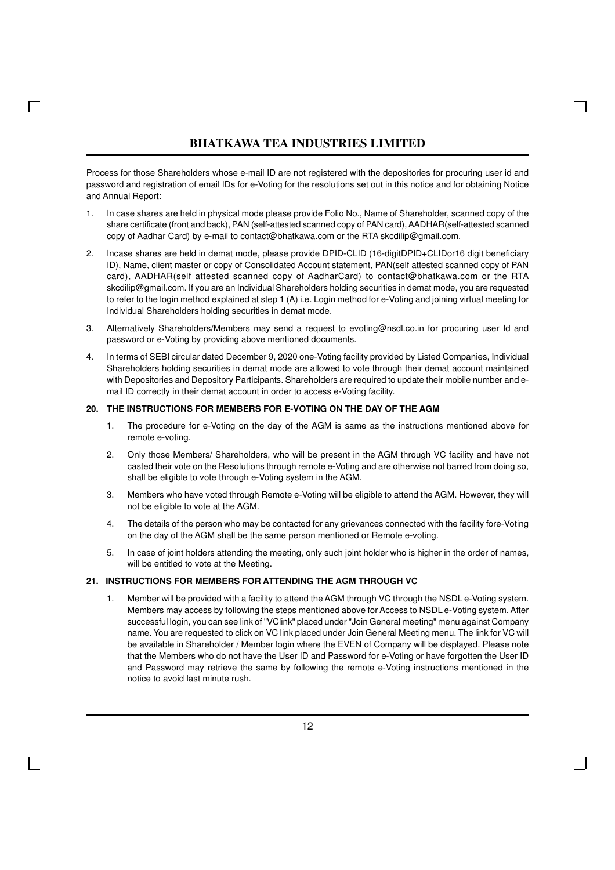$\Box$ 

Process for those Shareholders whose e-mail ID are not registered with the depositories for procuring user id and password and registration of email IDs for e-Voting for the resolutions set out in this notice and for obtaining Notice and Annual Report:

- 1. In case shares are held in physical mode please provide Folio No., Name of Shareholder, scanned copy of the share certificate (front and back), PAN (self-attested scanned copy of PAN card), AADHAR(self-attested scanned copy of Aadhar Card) by e-mail to contact@bhatkawa.com or the RTA skcdilip@gmail.com.
- 2. Incase shares are held in demat mode, please provide DPID-CLID (16-digitDPID+CLIDor16 digit beneficiary ID), Name, client master or copy of Consolidated Account statement, PAN(self attested scanned copy of PAN card), AADHAR(self attested scanned copy of AadharCard) to contact@bhatkawa.com or the RTA skcdilip@gmail.com. If you are an Individual Shareholders holding securities in demat mode, you are requested to refer to the login method explained at step 1 (A) i.e. Login method for e-Voting and joining virtual meeting for Individual Shareholders holding securities in demat mode.
- 3. Alternatively Shareholders/Members may send a request to evoting@nsdl.co.in for procuring user Id and password or e-Voting by providing above mentioned documents.
- 4. In terms of SEBI circular dated December 9, 2020 one-Voting facility provided by Listed Companies, Individual Shareholders holding securities in demat mode are allowed to vote through their demat account maintained with Depositories and Depository Participants. Shareholders are required to update their mobile number and email ID correctly in their demat account in order to access e-Voting facility.

### **20. THE INSTRUCTIONS FOR MEMBERS FOR E-VOTING ON THE DAY OF THE AGM**

- 1. The procedure for e-Voting on the day of the AGM is same as the instructions mentioned above for remote e-voting.
- 2. Only those Members/ Shareholders, who will be present in the AGM through VC facility and have not casted their vote on the Resolutions through remote e-Voting and are otherwise not barred from doing so, shall be eligible to vote through e-Voting system in the AGM.
- 3. Members who have voted through Remote e-Voting will be eligible to attend the AGM. However, they will not be eligible to vote at the AGM.
- 4. The details of the person who may be contacted for any grievances connected with the facility fore-Voting on the day of the AGM shall be the same person mentioned or Remote e-voting.
- 5. In case of joint holders attending the meeting, only such joint holder who is higher in the order of names, will be entitled to vote at the Meeting.

### **21. INSTRUCTIONS FOR MEMBERS FOR ATTENDING THE AGM THROUGH VC**

1. Member will be provided with a facility to attend the AGM through VC through the NSDL e-Voting system. Members may access by following the steps mentioned above for Access to NSDL e-Voting system. After successful login, you can see link of "VClink" placed under "Join General meeting" menu against Company name. You are requested to click on VC link placed under Join General Meeting menu. The link for VC will be available in Shareholder / Member login where the EVEN of Company will be displayed. Please note that the Members who do not have the User ID and Password for e-Voting or have forgotten the User ID and Password may retrieve the same by following the remote e-Voting instructions mentioned in the notice to avoid last minute rush.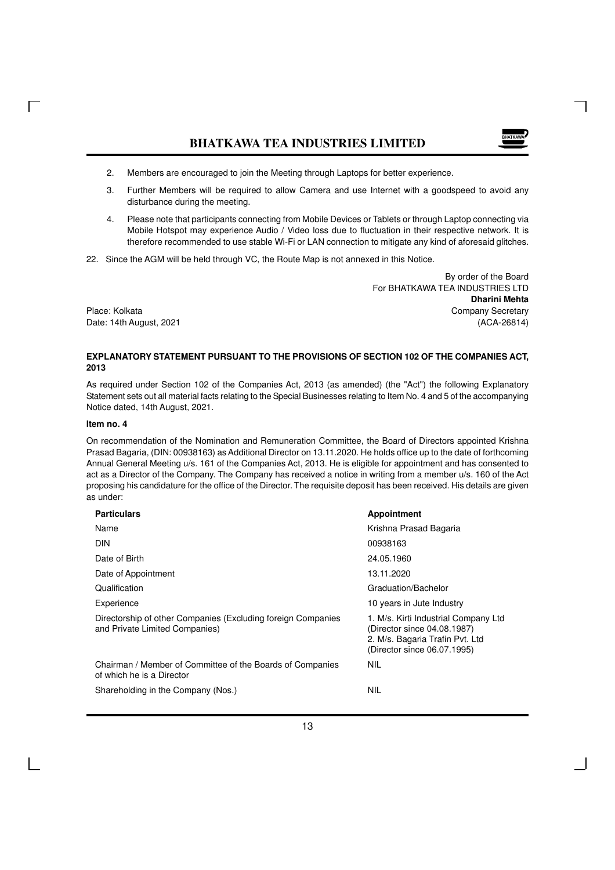

- 2. Members are encouraged to join the Meeting through Laptops for better experience.
- 3. Further Members will be required to allow Camera and use Internet with a goodspeed to avoid any disturbance during the meeting.
- 4. Please note that participants connecting from Mobile Devices or Tablets or through Laptop connecting via Mobile Hotspot may experience Audio / Video loss due to fluctuation in their respective network. It is therefore recommended to use stable Wi-Fi or LAN connection to mitigate any kind of aforesaid glitches.
- 22. Since the AGM will be held through VC, the Route Map is not annexed in this Notice.

 By order of the Board For BHATKAWA TEA INDUSTRIES LTD **Dharini Mehta** Place: Kolkata Company Secretary Company Secretary Company Secretary Date: 14th August, 2021 (ACA-26814)

### **EXPLANATORY STATEMENT PURSUANT TO THE PROVISIONS OF SECTION 102 OF THE COMPANIES ACT, 2013**

As required under Section 102 of the Companies Act, 2013 (as amended) (the "Act") the following Explanatory Statement sets out all material facts relating to the Special Businesses relating to Item No. 4 and 5 of the accompanying Notice dated, 14th August, 2021.

### **Item no. 4**

 $\Box$ 

On recommendation of the Nomination and Remuneration Committee, the Board of Directors appointed Krishna Prasad Bagaria, (DIN: 00938163) as Additional Director on 13.11.2020. He holds office up to the date of forthcoming Annual General Meeting u/s. 161 of the Companies Act, 2013. He is eligible for appointment and has consented to act as a Director of the Company. The Company has received a notice in writing from a member u/s. 160 of the Act proposing his candidature for the office of the Director. The requisite deposit has been received. His details are given as under:

| <b>Particulars</b>                                                                             | Appointment                                                                                                                           |
|------------------------------------------------------------------------------------------------|---------------------------------------------------------------------------------------------------------------------------------------|
| Name                                                                                           | Krishna Prasad Bagaria                                                                                                                |
| <b>DIN</b>                                                                                     | 00938163                                                                                                                              |
| Date of Birth                                                                                  | 24.05.1960                                                                                                                            |
| Date of Appointment                                                                            | 13.11.2020                                                                                                                            |
| Qualification                                                                                  | Graduation/Bachelor                                                                                                                   |
| Experience                                                                                     | 10 years in Jute Industry                                                                                                             |
| Directorship of other Companies (Excluding foreign Companies<br>and Private Limited Companies) | 1. M/s. Kirti Industrial Company Ltd<br>(Director since 04.08.1987)<br>2. M/s. Bagaria Trafin Pvt. Ltd<br>(Director since 06.07.1995) |
| Chairman / Member of Committee of the Boards of Companies<br>of which he is a Director         | <b>NIL</b>                                                                                                                            |
| Shareholding in the Company (Nos.)                                                             | <b>NIL</b>                                                                                                                            |